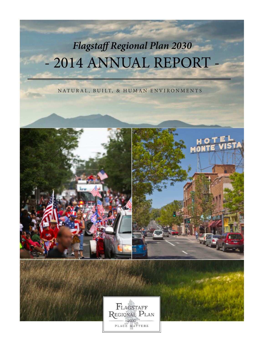## *Flagstaff Regional Plan 2030* - 2014 ANNUAL REPORT

NATURAL, BUILT, & HUMAN ENVIRONMENTS

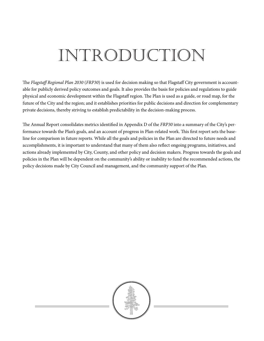## INTRODUCTION

The *Flagstaff Regional Plan 2030* (*FRP30*) is used for decision making so that Flagstaff City government is accountable for publicly derived policy outcomes and goals. It also provides the basis for policies and regulations to guide physical and economic development within the Flagstaff region. The Plan is used as a guide, or road map, for the future of the City and the region; and it establishes priorities for public decisions and direction for complementary private decisions, thereby striving to establish predictability in the decision-making process.

The Annual Report consolidates metrics identified in Appendix D of the *FRP30* into a summary of the City's performance towards the Plan's goals, and an account of progress in Plan-related work. This first report sets the baseline for comparison in future reports. While all the goals and policies in the Plan are directed to future needs and accomplishments, it is important to understand that many of them also reflect ongoing programs, initiatives, and actions already implemented by City, County, and other policy and decision makers. Progress towards the goals and policies in the Plan will be dependent on the community's ability or inability to fund the recommended actions, the policy decisions made by City Council and management, and the community support of the Plan.

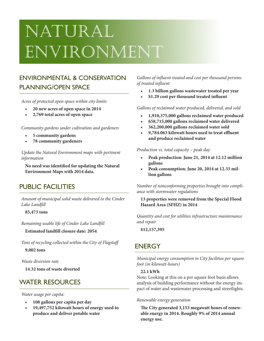## Natural Environment

## ENVIRONMENTAL & CONSERVATION PLANNING/OPEN SPACE

*Acres of protected open space within city limits*

- **• 20 new acres of open space in 2014**
- **• 2,769 total acres of open space**

*Community gardens under cultivation and gardeners*

- **• 5 community gardens**
- **78 community gardeners**

*Update the Natural Environment maps with pertinent information*

**No need was identified for updating the Natural Environment Maps with 2014 data.**

## PUBLIC FACILITIES

*Amount of municipal solid waste delivered to the Cinder Lake Landfill* 

**85,473 tons**

*Remaining usable life of Cinder Lake Landfill* 

**Estimated landfill closure date: 2054**

*Tons of recycling collected within the City of Flagstaff* **9,002 tons**

*Waste diversion rate* 

**14.32 tons of waste diverted**

## WATER RESOURCES

*Water usage per capita:*

- **• 108 gallons per capita per day**
- **• 19,497,752 kilowatt hours of energy used to produce and deliver potable water**

*Gallons of influent treated and cost per thousand persons of treated influent*

- **• 1.3 billion gallons wastewater treated per year**
- **• \$1.29 cost per thousand treated influent**

*Gallons of reclaimed water produced, delivered, and sold*

- **• 1,910,375,000 gallons reclaimed water produced**
- **• 658,715,000 gallons reclaimed water delivered**
- **• 362,200,000 gallons reclaimed water sold**
- **• 9,784.063 kilowatt hours used to treat effluent and produce reclaimed water**

*Production vs. total capacity – peak day*

- **• Peak production: June 21, 2014 at 12.12 million gallons**
- **• Peak consumption: June 20, 2014 at 12.33 million gallons**

*Number of nonconforming properties brought into compliance with stormwater regulations*

#### **13 properties were removed from the Special Flood Hazard Area (SFHZ) in 2014**

*Quantity and cost for utilities infrastructure maintenance and repair*

**\$12,157,395**

## **ENERGY**

*Municipal energy consumption in City facilities per square foot (in kilowatt-hours)* 

#### **22.1 kWh**

Note: Looking at this on a per square foot basis allows analysis of building performance without the energy impact of water and wastewater processing and streetlights.

#### *Renewable energy generation*

**The City generated 3,153 megawatt hours of renewable energy in 2014. Roughly 9% of 2014 annual energy use.**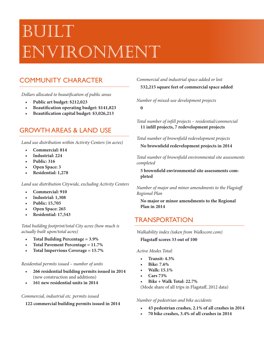# **BUILT** VIRONMENT

## COMMUNITY CHARACTER

*Dollars allocated to beautification of public areas*

- **• Public art budget: \$212,023**
- **• Beautification operating budget: \$141,823**
- **• Beautification capital budget: \$3,026,213**

## GROWTH AREAS & LAND USE

*Land use distribution within Activity Centers (in acres)* 

- **• Commercial: 814**
- **• Industrial: 224**
- **• Public: 316**
- **• Open Space: 3**
- **• Residential: 1,278**

*Land use distribution Citywide, excluding Activity Centers*

- **• Commercial: 910**
- **• Industrial: 1,308**
- **• Public: 15,705**
- **• Open Space: 265**
- **• Residential: 17,543**

*Total building footprint/total City acres (how much is actually built upon/total acres)*

- **• Total Building Percentage = 3.9%**
- **• Total Pavement Percentage = 11.7%**
- **• Total Impervious Coverage = 15.7%**

#### *Residential permits issued – number of units*

- **• 266 residential building permits issued in 2014** (new construction and additions)
- **• 161 new residential units in 2014**

#### *Commercial, industrial etc. permits issued*

**122 commercial building permits issued in 2014**

### *Commercial and industrial space added or lost* **532,215 square feet of commercial space added**

*Number of mixed-use development projects*  **0**

*Total number of infill projects – residential/commercial* **11 infill projects, 7 redevelopment projects**

*Total number of brownfield redevelopment projects*

**No brownfield redevelopment projects in 2014**

*Total number of brownfield environmental site assessments completed*

**5 brownfield environmental site assessments completed**

*Number of major and minor amendments to the Flagstaff Regional Plan*

**No major or minor amendments to the Regional Plan in 2014**

## TRANSPORTATION

*Walkability index (taken from Walkscore.com)*

**Flagstaff scores 33 out of 100**

#### *Active Modes Total:*

- **• Transit: 4.3%**
- **• Bike: 7.6%**
- **• Walk: 15.1%**
- **• Cars 73%**
- **• Bike + Walk Total: 22.7%**

(Mode share of all trips in Flagstaff, 2012 data)

#### *Number of pedestrian and bike accidents*

- **• 43 pedestrian crashes, 2.1% of all crashes in 2014**
- **• 70 bike crashes, 3.4% of all crashes in 2014**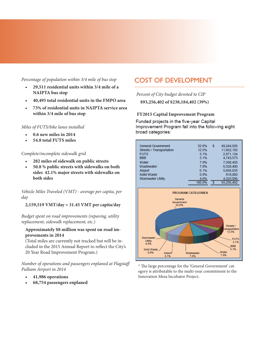### *Percentage of population within 3/4 mile of bus stop*

- **• 29,511 residential units within 3/4 mile of a NAIPTA bus stop**
- **• 40,495 total residential units in the FMPO area**
- **• 73% of residential units in NAIPTA service area within 3/4 mile of bus stop**

#### *Miles of FUTS/bike lanes installed*

- **• 0.6 new miles in 2014**
- **• 54.8 total FUTS miles**

#### *Complete/incomplete sidewalk grid*

- **• 282 miles of sidewalk on public streets**
- **• 50.8 % public streets with sidewalks on both sides 42.1% major streets with sidewalks on both sides**

*Vehicle Miles Traveled (VMT) - average per capita, per day*

**2,159,519 VMT/day = 31.45 VMT per capita/day**

*Budget spent on road improvements (repaving, utility replacement, sidewalk replacement, etc.)*

### **Approximately \$8 million was spent on road improvements in 2014**

(Total miles are currently not tracked but will be included in the 2015 Annual Report to reflect the City's 20 Year Road Improvement Program.)

*Number of operations and passengers enplaned at Flagstaff Pulliam Airport in 2014*

- **• 41,986 operations**
- **• 68,754 passengers enplaned**

## COST OF DEVELOPMENT

*Percent of City budget devoted to CIP*

**\$93,256,402 of \$238,184,402 (39%)**

#### **FY2015 Capital Improvement Program**

Funded projects in the five-vear Capital Improvement Program fall into the following eight broad categories:

| <b>General Government</b> | 52.8%  | s | 49.244.926 |
|---------------------------|--------|---|------------|
| Streets / Transportation  | 12.5%  |   | 11,662,182 |
| <b>FUTS</b>               | 3.1%   |   | 2.871.134  |
| <b>BBB</b>                | 5.1%   |   | 4.743.573  |
| Water                     | 7.9%   |   | 7,398,456  |
| Wastewater                | 7.0%   |   | 6,528,400  |
| Airport                   | 6.1%   |   | 5,666,635  |
| Solid Waste               | 0.9%   |   | 818,000    |
| <b>Stormwater Utility</b> | 4.6%   |   | 4,323,096  |
|                           | 100 0% |   | 93.256.402 |



\* The large percentage for the 'General Government' category is attributable to the multi-year commitment to the Innovation Mesa Incubator Project.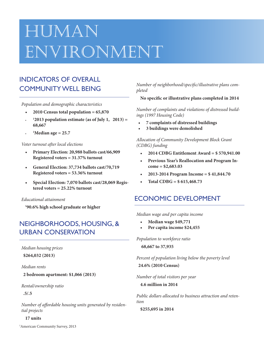## Human ENVIRONMENT

## INDICATORS OF OVERALL COMMUNITY WELL BEING

*Population and demographic characteristics*

- $2010$  Census total population =  $65,870$
- **• <sup>1</sup> 2013 population estimate (as of July 1, 2013) = 68,667**
- **• <sup>1</sup> Median age = 25.7**

#### *Voter turnout after local elections*

- **• Primary Election: 20,988 ballots cast/66,909 Registered voters = 31.37% turnout**
- **• General Election: 37,734 ballots cast/70,719 Registered voters = 53.36% turnout**
- **• Special Election: 7,070 ballots cast/28,069 Registered voters = 25.22% turnout**

#### *Educational attainment*

**1 90.6% high school graduate or higher**

## NEIGHBORHOODS, HOUSING, & URBAN CONSERVATION

*Median housing prices*

**\$264,032 (2013)**

*Median rents*

**2 bedroom apartment: \$1,066 (2013)**

*Rental/ownership ratio*

**.5/.5**

*Number of affordable housing units generated by residential projects* 

#### **17 units**

*Number of neighborhood/specific/illustrative plans completed*

**No specific or illustrative plans completed in 2014**

*Number of complaints and violations of distressed buildings (1997 Housing Code)*

- **• 7 complaints of distressed buildings**
- **• 3 buildings were demolished**

*Allocation of Community Development Block Grant (CDBG) funding*

- **• 2014 CDBG Entitlement Award = \$ 570,941.00**
- **• Previous Year's Reallocation and Program Income = \$2,683.03**
- **• 2013-2014 Program Income = \$ 41,844.70**
- $\text{Total CDBG} = $615,468.73$

## ECONOMIC DEVELOPMENT

*Median wage and per capita income* 

- **• Median wage \$49,771**
- **Per** capita income \$24,455

*Population to workforce ratio* **68,667 to 37,935**

*Percent of population living below the poverty level* **24.6% (2010 Census)**

*Number of total visitors per year*

**4.6 million in 2014**

*Public dollars allocated to business attraction and retention*

**\$255,695 in 2014**

<sup>1</sup>American Community Survey, 2013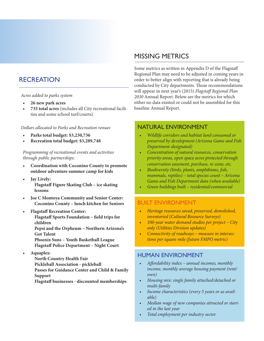## RECREATION

#### *Acres added to parks system*

- **• 26 new park acres**
- **• 735 total acres** (includes all City recreational facilities and some school turf/courts)

*Dollars allocated to Parks and Recreation venues*

- **• Parks total budget: \$3,230,736**
- **• Recreation total budget: \$3,289,748**

*Programming of recreational events and activities through public partnerships:*

- **• Coordination with Coconino County to promote outdoor adventure summer camp for kids**
- *Jay* **Lively: Flagstaff Figure Skating Club – ice skating lessons**
- **• Joe C Montoya Community and Senior Center: Coconino County – lunch kitchen for Seniors**
- **Flagstaff** Recreation Center: **Flagstaff Sports Foundation – field trips for children Pepsi and the Orpheum – Northern Arizona's Got Talent Phoenix Suns – Youth Basketball League Flagstaff Police Department – Night Court**
- **• Aquaplex:**
	- **North Country Health Fair Pickleball Association - pickleball Passes for Guidance Center and Child & Family Support**
	- **Flagstaff businesses - discounted memberships**

## MISSING METRICS

Some metrics as written in Appendix D of the Flagstaff Regional Plan may need to be adjusted in coming years in order to better align with reporting that is already being conducted by City departments. Those recommendations will appear in next year's (2015) *Flagstaff Regional Plan 2030* Annual Report. Below are the metrics for which either no data existed or could not be assembled for this baseline Annual Report.

### NATURAL ENVIRONMENT

- *• Wildlife corridors and habitat land consumed or preserved by development (Arizona Game and Fish Department-designated)*
- *• Concentration of natural resources, conservation priority areas, open space acres protected through conservation easement, purchase, re-zone, etc.*
- *• Biodiversity (birds, plants, amphibians, fish, mammals, reptiles) – total species count – Arizona Game and Fish Department data (when available)*
- Green buildings built residential/commercial

### BUILT ENVIRONMENT

- *• Heritage resources saved, preserved, demolished, inventoried (Cultural Resource Surveys)*
- *• 100-year water demand studies per project City only (Utilities Division updates)*
- *• Connectivity of roadways measure in intersections per square mile (future FMPO metric)*

## HUMAN ENVIRONMENT

- *• Affordability index annual incomes, monthly income, monthly average housing payment (rent/ own)*
- *• Housing mix: single family attached/detached or multi-family*
- Income characteristics (every 5 years or as avail*able)*
- *• Median wage of new companies attracted or started in the last year*
- *• Total employment per industry sector*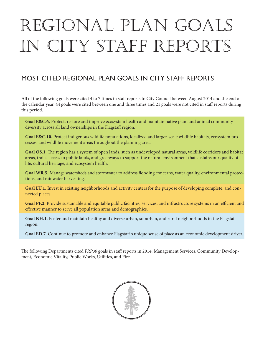# REGIONAL PLAN GOAL in City Staff Reports

## MOST CITED REGIONAL PLAN GOALS IN CITY STAFF REPORTS

All of the following goals were cited 4 to 7 times in staff reports to City Council between August 2014 and the end of the calendar year. 44 goals were cited between one and three times and 21 goals were not cited in staff reports during this period.

**Goal E&C.6.** Protect, restore and improve ecosystem health and maintain native plant and animal community diversity across all land ownerships in the Flagstaff region.

**Goal E&C.10.** Protect indigenous wildlife populations, localized and larger-scale wildlife habitats, ecosystem processes, and wildlife movement areas throughout the planning area.

**Goal OS.1.** The region has a system of open lands, such as undeveloped natural areas, wildlife corridors and habitat areas, trails, access to public lands, and greenways to support the natural environment that sustains our quality of life, cultural heritage, and ecosystem health.

**Goal WR.5***.* Manage watersheds and stormwater to address flooding concerns, water quality, environmental protections, and rainwater harvesting.

**Goal LU.1.** Invest in existing neighborhoods and activity centers for the purpose of developing complete, and connected places.

**Goal PF.2.** Provide sustainable and equitable public facilities, services, and infrastructure systems in an efficient and effective manner to serve all population areas and demographics.

**Goal NH.1***.* Foster and maintain healthy and diverse urban, suburban, and rural neighborhoods in the Flagstaff region.

**Goal ED.7.** Continue to promote and enhance Flagstaff 's unique sense of place as an economic development driver.

The following Departments cited *FRP30* goals in staff reports in 2014: Management Services, Community Development, Economic Vitality, Public Works, Utilities, and Fire.

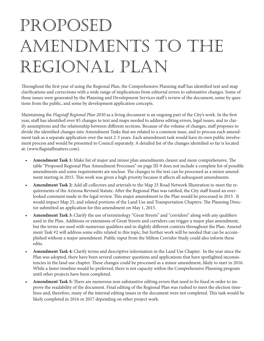## PROPOSED Amendments to the Regional Plan

Throughout the first year of using the Regional Plan, the Comprehensive Planning staff has identified text and map clarifications and corrections with a wide range of implications from editorial errors to substantive changes. Some of these issues were generated by the Planning and Development Services staff 's review of the document, some by questions from the public, and some by development application concepts.

Maintaining the *Flagstaff Regional Plan 2030* as a living document is an ongoing part of the City's work. In the first year, staff has identified over 85 changes to text and maps needed to address editing errors, legal issues, and to clarify assumptions and the relationship between different sections. Because of the volume of changes, staff proposes to divide the identified changes into Amendment Tasks that are related to a common issue, and to process each amendment task as a separate application over the next 2-3 years. Each amendment task would have its own public involvement process and would be presented to Council separately. A detailed list of the changes identified so far is located at: (www.flagstaffmatters.com).

- **• Amendment Task 1:** Make list of major and minor plan amendments clearer and more comprehensive. The table "Proposed Regional Plan Amendment Processes" on page III-9 does not include a complete list of possible amendments and some requirements are unclear. The changes to the text can be processed as a minor amendment starting in 2015. This work was given a high priority because it affects all subsequent amendments.
- **• Amendment Task 2:** Add all collectors and arterials to the Map 25 Road Network Illustration to meet the requirements of the Arizona Revised Statute. After the Regional Plan was ratified, the City staff found an overlooked comment made in the legal review. This major amendment to the Plan would be processed in 2015 . It would impact Map 25, and related portions of the Land Use and Transportation Chapters. The Planning Director submitted an application for this amendment on May 1, 2015.
- **• Amendment Task 3:** Clarify the use of terminology "Great Streets" and "corridors" along with any qualifiers used in the Plan. Additions or extensions of Great Streets and corridors can trigger a major plan amendment, but the terms are used with numerous qualifiers and in slightly different contexts throughout the Plan. Amendment Task #2 will address some edits related to this topic, but further work will be needed that can be accomplished without a major amendment. Public input from the Milton Corridor Study could also inform these edits.
- **• Amendment Task 4:** Clarify terms and descriptive information in the Land Use Chapter. In the year since the Plan was adopted, there have been several customer questions and applications that have spotlighted inconsistencies in the land use chapter. These changes could be processed as a minor amendment, likely to start in 2016. While a faster timeline would be preferred, there is not capacity within the Comprehensive Planning program until other projects have been completed.
- **Amendment Task 5:** There are numerous non-substantive editing errors that need to be fixed in order to improve the readability of the document. Final editing of the Regional Plan was rushed to meet the election timelines and, therefore, many of the internal editing issues in the document were not completed. This task would be likely completed in 2016 or 2017 depending on other project work.